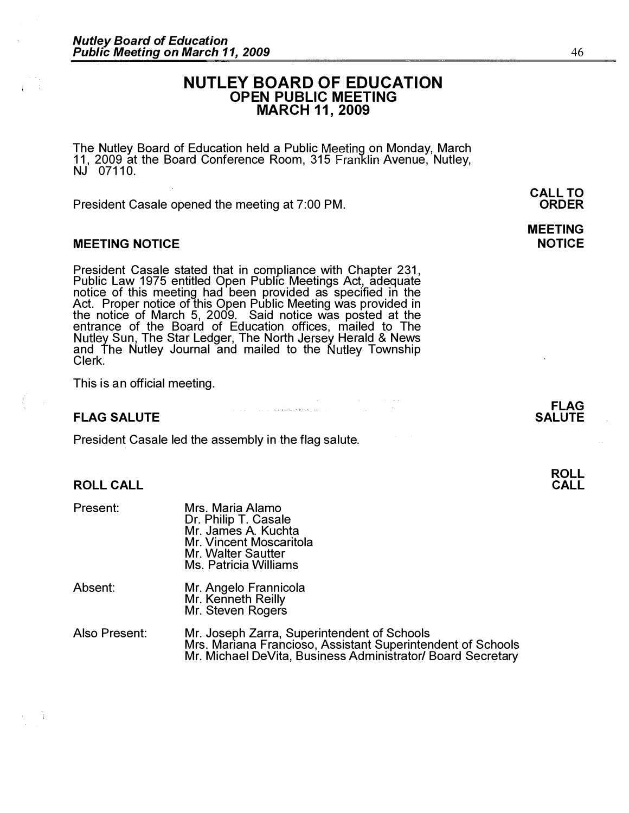# NUTLEY BOARD OF EDUCATION OPEN PUBLIC MEETING MARCH 11, 2009

The Nutley Board of Education held a Public Meeting on Monday, March 11, 2009 at the Board Conference Room, 315 Franklin Avenue, Nutley,  $NJ$  07110.

President Casale opened the meeting at 7:00 PM.

## MEETING NOTICE

÷.

President Casale stated that in compliance with Chapter 231, Public Law 1975 entitled Open Public Meetings Act, adequate notice of this meeting had been provided as specified in the Act. Proper notice of this Open Public Meeting was provided in the notice of March 5, 2009. Said notice was posted at the entrance of the Board of Education offices, mailed to The Sun, The Star Ledger, The North Jersey Herald & News and The Nutley Journal and mailed to the Nutley Township Clerk.

This is an official meeting.

## **FLAG SALUTE**

ROLL CALL

President Casale led the assembly in the flag salute.

| Present:      | Mrs. Maria Alamo<br>Dr. Philip T. Casale<br>Mr. James A. Kuchta<br>Mr. Vincent Moscaritola<br><b>Mr. Walter Sautter</b><br>Ms. Patricia Williams |
|---------------|--------------------------------------------------------------------------------------------------------------------------------------------------|
| Absent:       | Mr. Angelo Frannicola<br>Mr. Kenneth Reilly<br>Mr. Steven Rogers                                                                                 |
| Also Present: | Mr. Joseph Zarra, Supe<br>Mrs. Mariana Francioso                                                                                                 |

Als Superintendent of Schools Mrs. Mariana Francioso, Assistant Superintendent of Schools Mr. Michael DeVita, Business Administrator/ Board Secretary

المستخدمات المستخدمة المستخدمة المتحدة المستخدمة المستخدمة.<br>والمستخدمات المستخدمة المستخدمة المستخدمة المستخدمة المستخدمة المستخدمة المستخدمة المستخدمة المستخدمة المستخدمة

FLAG

CALL TO ORDER

# MEETING

**NOTICE** 

# SALUTE

46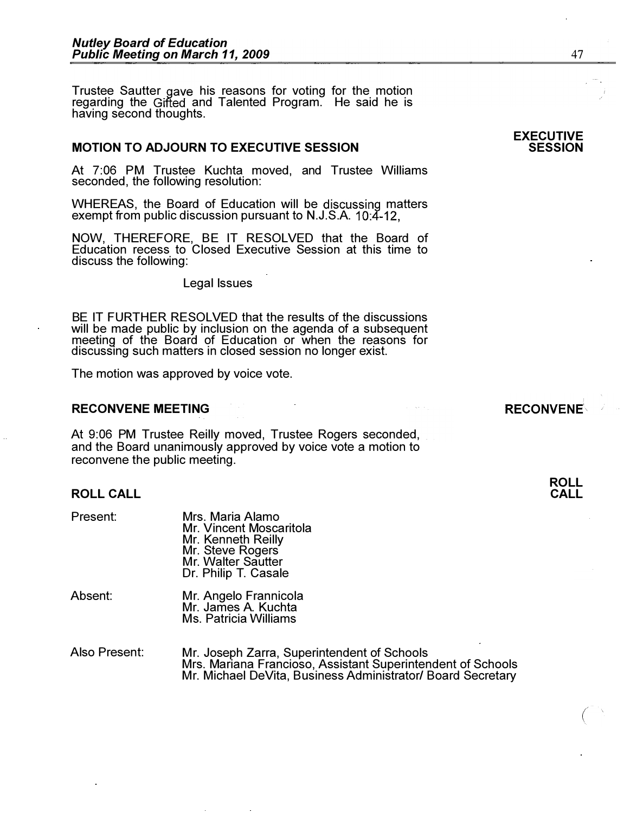Trustee Sautter gave his reasons for voting for the motion regarding the Gifted and Talented Program. He said he is having second thoughts.

### MOTION TO ADJOURN TO EXECUTIVE SESSION

At 7:06 PM Trustee Kuchta moved, and Trustee Williams seconded, the following resolution:

WHEREAS, the Board of Education will be discussing matters exempt from public discussion pursuant to N.J.S.A. 10:4-12,

NOW, THEREFORE, BE IT RESOLVED that the Board of Education recess to Closed Executive Session at this time to discuss the following:

Legal Issues

BE IT FURTHER RESOLVED that the results of the discussions will be made public by inclusion on the agenda of a subsequent meeting of the Board of Education or when the reasons for discussing such matters in closed session no longer exist.

The motion was approved by voice vote.

## RECONVENE MEETING

At 9:06 PM Trustee Reilly moved, Trustee Rogers seconded, and the Board unanimously approved by voice vote a motion to reconvene the public meeting.

#### ROLL CALL

| Present: | Mrs. Maria Alamo<br>Mr. Vincent Moscaritola<br>Mr. Kenneth Reilly<br>Mr. Steve Rogers<br>Mr. Walter Sautter<br>Dr. Philip T. Casale |
|----------|-------------------------------------------------------------------------------------------------------------------------------------|
| Absent:  | Mr. Angelo Frannicola<br>Mr. James A. Kuchta<br>Ms. Patricia Williams                                                               |

| Also Present: | Mr. Joseph Zarra, Superintendent of Schools                 |
|---------------|-------------------------------------------------------------|
|               | Mrs. Mariana Francioso, Assistant Superintendent of Schools |
|               | Mr. Michael DeVita, Business Administrator/ Board Secretary |

#### EXECUTIVE **SESSION**

**RECONVENE**